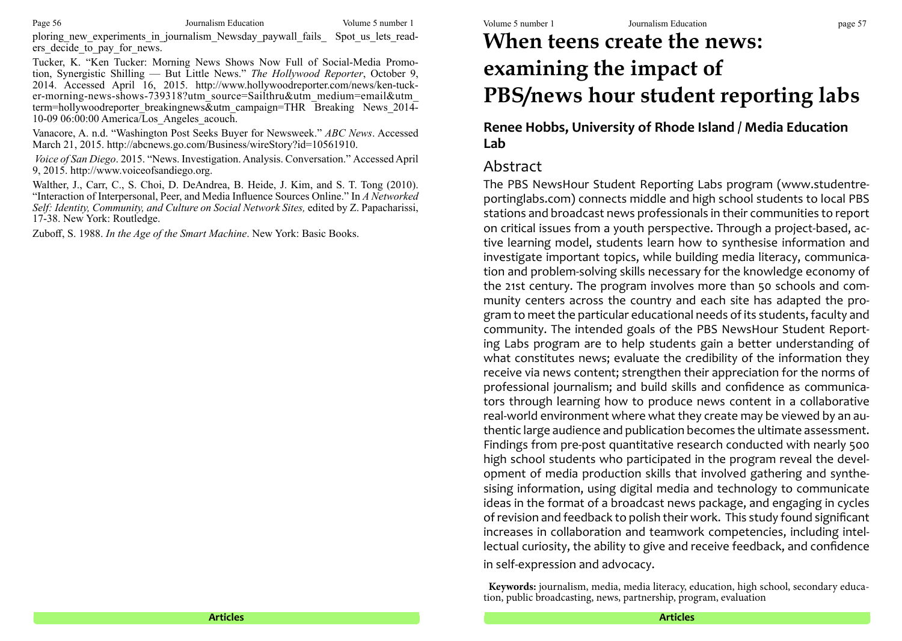ploring new experiments in journalism Newsday paywall fails Spot us lets readers decide to pay for news.

Tucker, K. "Ken Tucker: Morning News Shows Now Full of Social-Media Promotion, Synergistic Shilling — But Little News." *The Hollywood Reporter*, October 9, 2014. Accessed April 16, 2015. http://www.hollywoodreporter.com/news/ken-tucker-morning-news-shows-739318?utm\_source=Sailthru&utm\_medium=email&utm\_ term=hollywoodreporter breakingnews&utm\_campaign=THR Breaking News 2014-10-09 06:00:00 America/Los Angeles acouch.

Vanacore, A. n.d. "Washington Post Seeks Buyer for Newsweek." *ABC News*. Accessed March 21, 2015. http://abcnews.go.com/Business/wireStory?id=10561910.

*Voice of San Diego*. 2015. "News. Investigation. Analysis. Conversation." Accessed April 9, 2015. http://www.voiceofsandiego.org.

Walther, J., Carr, C., S. Choi, D. DeAndrea, B. Heide, J. Kim, and S. T. Tong (2010). "Interaction of Interpersonal, Peer, and Media Influence Sources Online." In *A Networked Self: Identity, Community, and Culture on Social Network Sites,* edited by Z. Papacharissi, 17-38. New York: Routledge.

Zuboff, S. 1988. *In the Age of the Smart Machine*. New York: Basic Books.

# **When teens create the news: examining the impact of PBS/news hour student reporting labs**

**Renee Hobbs, University of Rhode Island / Media Education Lab**

## Abstract

The PBS NewsHour Student Reporting Labs program (www.studentreportinglabs.com) connects middle and high school students to local PBS stations and broadcast news professionals in their communities to report on critical issues from a youth perspective. Through a project-based, active learning model, students learn how to synthesise information and investigate important topics, while building media literacy, communication and problem-solving skills necessary for the knowledge economy of the 21st century. The program involves more than 50 schools and community centers across the country and each site has adapted the program to meet the particular educational needs of its students, faculty and community. The intended goals of the PBS NewsHour Student Reporting Labs program are to help students gain a better understanding of what constitutes news; evaluate the credibility of the information they receive via news content; strengthen their appreciation for the norms of professional journalism; and build skills and confidence as communicators through learning how to produce news content in a collaborative real-world environment where what they create may be viewed by an authentic large audience and publication becomes the ultimate assessment. Findings from pre-post quantitative research conducted with nearly 500 high school students who participated in the program reveal the development of media production skills that involved gathering and synthesising information, using digital media and technology to communicate ideas in the format of a broadcast news package, and engaging in cycles of revision and feedback to polish their work. This study found significant increases in collaboration and teamwork competencies, including intellectual curiosity, the ability to give and receive feedback, and confidence in self-expression and advocacy.

**Keywords:** journalism, media, media literacy, education, high school, secondary education, public broadcasting, news, partnership, program, evaluation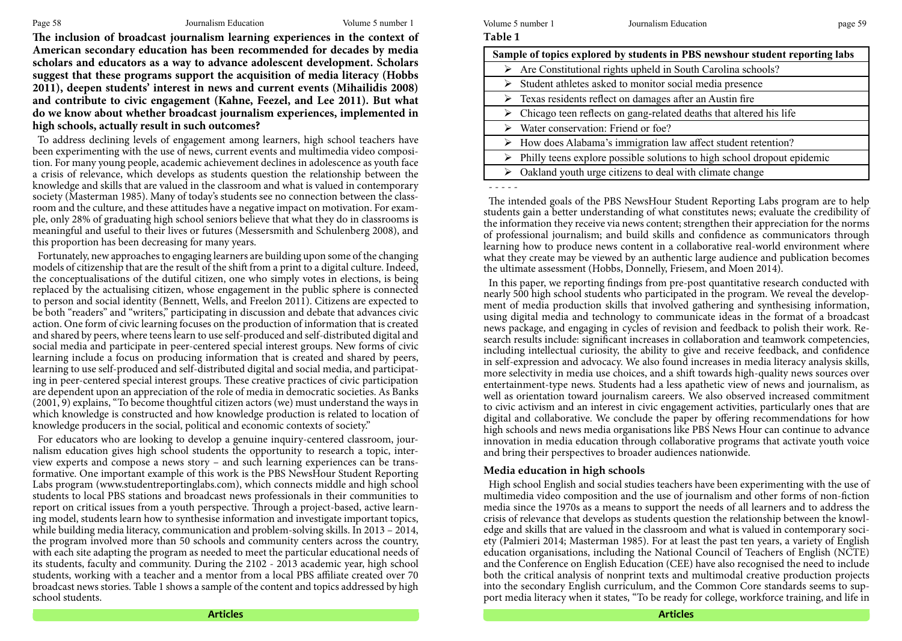**The inclusion of broadcast journalism learning experiences in the context of American secondary education has been recommended for decades by media scholars and educators as a way to advance adolescent development. Scholars suggest that these programs support the acquisition of media literacy (Hobbs 2011), deepen students' interest in news and current events (Mihailidis 2008) and contribute to civic engagement (Kahne, Feezel, and Lee 2011). But what do we know about whether broadcast journalism experiences, implemented in high schools, actually result in such outcomes?** 

To address declining levels of engagement among learners, high school teachers have been experimenting with the use of news, current events and multimedia video composition. For many young people, academic achievement declines in adolescence as youth face a crisis of relevance, which develops as students question the relationship between the knowledge and skills that are valued in the classroom and what is valued in contemporary society (Masterman 1985). Many of today's students see no connection between the classroom and the culture, and these attitudes have a negative impact on motivation. For example, only 28% of graduating high school seniors believe that what they do in classrooms is meaningful and useful to their lives or futures (Messersmith and Schulenberg 2008), and this proportion has been decreasing for many years.

Fortunately, new approaches to engaging learners are building upon some of the changing models of citizenship that are the result of the shift from a print to a digital culture. Indeed, the conceptualisations of the dutiful citizen, one who simply votes in elections, is being replaced by the actualising citizen, whose engagement in the public sphere is connected to person and social identity (Bennett, Wells, and Freelon 2011). Citizens are expected to be both "readers" and "writers," participating in discussion and debate that advances civic action. One form of civic learning focuses on the production of information that is created and shared by peers, where teens learn to use self-produced and self-distributed digital and social media and participate in peer-centered special interest groups. New forms of civic learning include a focus on producing information that is created and shared by peers, learning to use self-produced and self-distributed digital and social media, and participating in peer-centered special interest groups. These creative practices of civic participation are dependent upon an appreciation of the role of media in democratic societies. As Banks (2001, 9) explains, "To become thoughtful citizen actors (we) must understand the ways in which knowledge is constructed and how knowledge production is related to location of knowledge producers in the social, political and economic contexts of society."

For educators who are looking to develop a genuine inquiry-centered classroom, journalism education gives high school students the opportunity to research a topic, interview experts and compose a news story – and such learning experiences can be transformative. One important example of this work is the PBS NewsHour Student Reporting Labs program (www.studentreportinglabs.com), which connects middle and high school students to local PBS stations and broadcast news professionals in their communities to report on critical issues from a youth perspective. Through a project-based, active learning model, students learn how to synthesise information and investigate important topics, while building media literacy, communication and problem-solving skills. In 2013 – 2014, the program involved more than 50 schools and community centers across the country, with each site adapting the program as needed to meet the particular educational needs of its students, faculty and community. During the 2102 - 2013 academic year, high school students, working with a teacher and a mentor from a local PBS affiliate created over 70 broadcast news stories. Table 1 shows a sample of the content and topics addressed by high school students.

#### Page 58 Journalism Education Volume 5 number 1 Volume 5 number 1 Volume 5 number 1 Journalism Education page 59

**Table 1** 

| Sample of topics explored by students in PBS newshour student reporting labs             |
|------------------------------------------------------------------------------------------|
| $\triangleright$ Are Constitutional rights upheld in South Carolina schools?             |
| Student athletes asked to monitor social media presence<br>➤                             |
| $\triangleright$ Texas residents reflect on damages after an Austin fire                 |
| $\triangleright$ Chicago teen reflects on gang-related deaths that altered his life      |
| $\triangleright$ Water conservation: Friend or foe?                                      |
| $\triangleright$ How does Alabama's immigration law affect student retention?            |
| $\triangleright$ Philly teens explore possible solutions to high school dropout epidemic |
| Oakland youth urge citizens to deal with climate change<br>➤                             |
|                                                                                          |

- - - - -

The intended goals of the PBS NewsHour Student Reporting Labs program are to help students gain a better understanding of what constitutes news; evaluate the credibility of the information they receive via news content; strengthen their appreciation for the norms of professional journalism; and build skills and confidence as communicators through learning how to produce news content in a collaborative real-world environment where what they create may be viewed by an authentic large audience and publication becomes the ultimate assessment (Hobbs, Donnelly, Friesem, and Moen 2014).

In this paper, we reporting findings from pre‐post quantitative research conducted with nearly 500 high school students who participated in the program. We reveal the development of media production skills that involved gathering and synthesising information, using digital media and technology to communicate ideas in the format of a broadcast news package, and engaging in cycles of revision and feedback to polish their work. Research results include: significant increases in collaboration and teamwork competencies, including intellectual curiosity, the ability to give and receive feedback, and confidence in self-expression and advocacy. We also found increases in media literacy analysis skills, more selectivity in media use choices, and a shift towards high‐quality news sources over entertainment-type news. Students had a less apathetic view of news and journalism, as well as orientation toward journalism careers. We also observed increased commitment to civic activism and an interest in civic engagement activities, particularly ones that are digital and collaborative. We conclude the paper by offering recommendations for how high schools and news media organisations like PBS News Hour can continue to advance innovation in media education through collaborative programs that activate youth voice and bring their perspectives to broader audiences nationwide.

## **Media education in high schools**

High school English and social studies teachers have been experimenting with the use of multimedia video composition and the use of journalism and other forms of non-fiction media since the 1970s as a means to support the needs of all learners and to address the crisis of relevance that develops as students question the relationship between the knowledge and skills that are valued in the classroom and what is valued in contemporary society (Palmieri 2014; Masterman 1985). For at least the past ten years, a variety of English education organisations, including the National Council of Teachers of English (NCTE) and the Conference on English Education (CEE) have also recognised the need to include both the critical analysis of nonprint texts and multimodal creative production projects into the secondary English curriculum, and the Common Core standards seems to support media literacy when it states, "To be ready for college, workforce training, and life in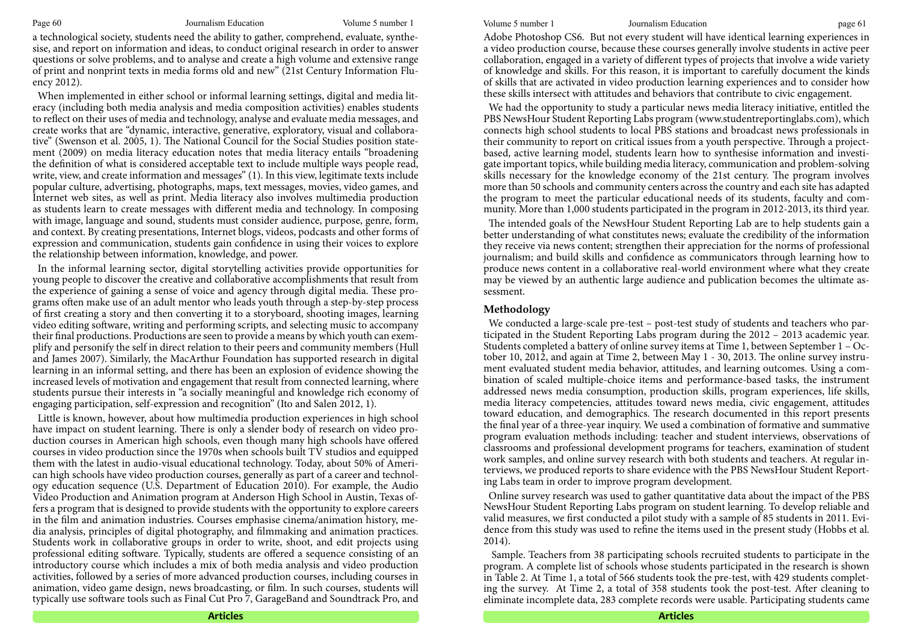a technological society, students need the ability to gather, comprehend, evaluate, synthesise, and report on information and ideas, to conduct original research in order to answer questions or solve problems, and to analyse and create a high volume and extensive range of print and nonprint texts in media forms old and new" (21st Century Information Fluency 2012).

When implemented in either school or informal learning settings, digital and media literacy (including both media analysis and media composition activities) enables students to reflect on their uses of media and technology, analyse and evaluate media messages, and create works that are "dynamic, interactive, generative, exploratory, visual and collaborative" (Swenson et al. 2005, 1). The National Council for the Social Studies position statement (2009) on media literacy education notes that media literacy entails "broadening the definition of what is considered acceptable text to include multiple ways people read, write, view, and create information and messages" (1). In this view, legitimate texts include popular culture, advertising, photographs, maps, text messages, movies, video games, and Internet web sites, as well as print. Media literacy also involves multimedia production as students learn to create messages with different media and technology. In composing with image, language and sound, students must consider audience, purpose, genre, form, and context. By creating presentations, Internet blogs, videos, podcasts and other forms of expression and communication, students gain confidence in using their voices to explore the relationship between information, knowledge, and power.

In the informal learning sector, digital storytelling activities provide opportunities for young people to discover the creative and collaborative accomplishments that result from the experience of gaining a sense of voice and agency through digital media. These programs often make use of an adult mentor who leads youth through a step-by-step process of first creating a story and then converting it to a storyboard, shooting images, learning video editing software, writing and performing scripts, and selecting music to accompany their final productions. Productions are seen to provide a means by which youth can exemplify and personify the self in direct relation to their peers and community members (Hull and James 2007). Similarly, the MacArthur Foundation has supported research in digital learning in an informal setting, and there has been an explosion of evidence showing the increased levels of motivation and engagement that result from connected learning, where students pursue their interests in "a socially meaningful and knowledge rich economy of engaging participation, self-expression and recognition" (Ito and Salen 2012, 1).

Little is known, however, about how multimedia production experiences in high school have impact on student learning. There is only a slender body of research on video production courses in American high schools, even though many high schools have offered courses in video production since the 1970s when schools built TV studios and equipped them with the latest in audio-visual educational technology. Today, about 50% of American high schools have video production courses, generally as part of a career and technology education sequence (U.S. Department of Education 2010). For example, the Audio Video Production and Animation program at Anderson High School in Austin, Texas offers a program that is designed to provide students with the opportunity to explore careers in the film and animation industries. Courses emphasise cinema/animation history, media analysis, principles of digital photography, and filmmaking and animation practices. Students work in collaborative groups in order to write, shoot, and edit projects using professional editing software. Typically, students are offered a sequence consisting of an introductory course which includes a mix of both media analysis and video production activities, followed by a series of more advanced production courses, including courses in animation, video game design, news broadcasting, or film. In such courses, students will typically use software tools such as Final Cut Pro 7, GarageBand and Soundtrack Pro, and

Adobe Photoshop CS6. But not every student will have identical learning experiences in a video production course, because these courses generally involve students in active peer collaboration, engaged in a variety of different types of projects that involve a wide variety of knowledge and skills. For this reason, it is important to carefully document the kinds of skills that are activated in video production learning experiences and to consider how these skills intersect with attitudes and behaviors that contribute to civic engagement.

We had the opportunity to study a particular news media literacy initiative, entitled the PBS NewsHour Student Reporting Labs program (www.studentreportinglabs.com), which connects high school students to local PBS stations and broadcast news professionals in their community to report on critical issues from a youth perspective. Through a projectbased, active learning model, students learn how to synthesise information and investigate important topics, while building media literacy, communication and problem-solving skills necessary for the knowledge economy of the 21st century. The program involves more than 50 schools and community centers across the country and each site has adapted the program to meet the particular educational needs of its students, faculty and community. More than 1,000 students participated in the program in 2012‐2013, its third year.

The intended goals of the NewsHour Student Reporting Lab are to help students gain a better understanding of what constitutes news; evaluate the credibility of the information they receive via news content; strengthen their appreciation for the norms of professional journalism; and build skills and confidence as communicators through learning how to produce news content in a collaborative real-world environment where what they create may be viewed by an authentic large audience and publication becomes the ultimate assessment.

#### **Methodology**

We conducted a large-scale pre-test – post-test study of students and teachers who participated in the Student Reporting Labs program during the 2012 – 2013 academic year. Students completed a battery of online survey items at Time 1, between September 1 – October 10, 2012, and again at Time 2, between May 1 - 30, 2013. The online survey instrument evaluated student media behavior, attitudes, and learning outcomes. Using a combination of scaled multiple-choice items and performance-based tasks, the instrument addressed news media consumption, production skills, program experiences, life skills, media literacy competencies, attitudes toward news media, civic engagement, attitudes toward education, and demographics. The research documented in this report presents the final year of a three-year inquiry. We used a combination of formative and summative program evaluation methods including: teacher and student interviews, observations of classrooms and professional development programs for teachers, examination of student work samples, and online survey research with both students and teachers. At regular interviews, we produced reports to share evidence with the PBS NewsHour Student Reporting Labs team in order to improve program development.

Online survey research was used to gather quantitative data about the impact of the PBS NewsHour Student Reporting Labs program on student learning. To develop reliable and valid measures, we first conducted a pilot study with a sample of 85 students in 2011. Evidence from this study was used to refine the items used in the present study (Hobbs et al. 2014).

 Sample. Teachers from 38 participating schools recruited students to participate in the program. A complete list of schools whose students participated in the research is shown in Table 2. At Time 1, a total of 566 students took the pre-test, with 429 students completing the survey. At Time 2, a total of 358 students took the post-test. After cleaning to eliminate incomplete data, 283 complete records were usable. Participating students came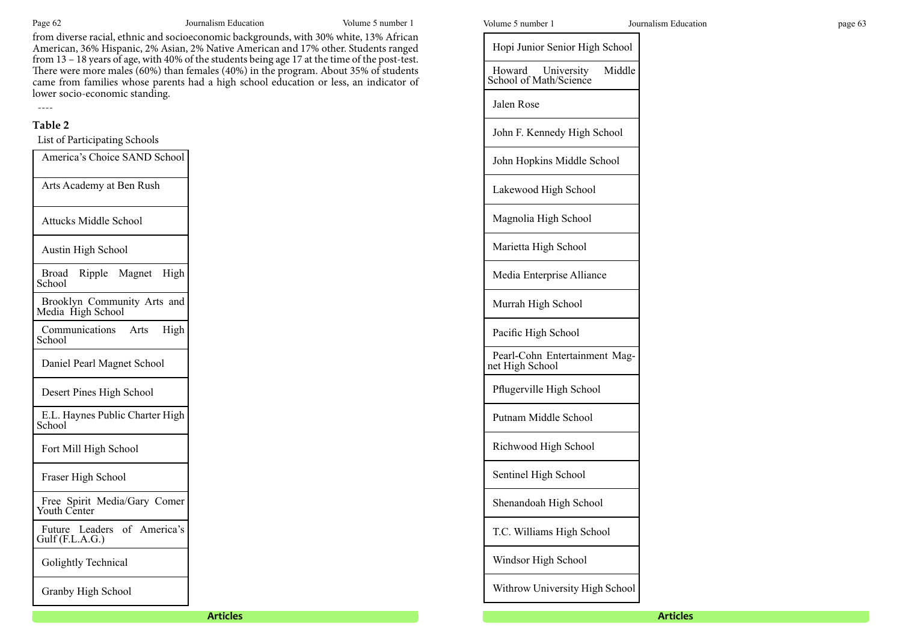from diverse racial, ethnic and socioeconomic backgrounds, with 30% white, 13% African American, 36% Hispanic, 2% Asian, 2% Native American and 17% other. Students ranged from 13 – 18 years of age, with 40% of the students being age 17 at the time of the post-test. There were more males (60%) than females (40%) in the program. About 35% of students came from families whose parents had a high school education or less, an indicator of lower socio-economic standing.

## ---- **Table 2**

List of Participating Schools

| America's Choice SAND School                     |
|--------------------------------------------------|
| Arts Academy at Ben Rush                         |
| <b>Attucks Middle School</b>                     |
| <b>Austin High School</b>                        |
| Ripple Magnet High<br>Broad<br>School            |
| Brooklyn Community Arts and<br>Media High School |
| Communications Arts<br>High<br>School            |
| Daniel Pearl Magnet School                       |
| Desert Pines High School                         |
| E.L. Haynes Public Charter High<br>School        |
| Fort Mill High School                            |
| Fraser High School                               |
| Free Spirit Media/Gary Comer<br>Youth Center     |
| Future Leaders of America's<br>Gulf (F.L.A.G.)   |
| Golightly Technical                              |
| Granby High School                               |

| Volume 5 num |  |  |
|--------------|--|--|
|--------------|--|--|

Jalen Rose

Hopi Junior Senior High School

Howard University Middle

John F. Kennedy High School

John Hopkins Middle School

Lakewood High School

School of Math/Science

| <b>Articles</b> |                                                  | <b>Articles</b> |
|-----------------|--------------------------------------------------|-----------------|
|                 | Withrow University High School                   |                 |
|                 | Windsor High School                              |                 |
|                 | T.C. Williams High School                        |                 |
|                 | Shenandoah High School                           |                 |
|                 | Sentinel High School                             |                 |
|                 | Richwood High School                             |                 |
|                 | Putnam Middle School                             |                 |
|                 | Pflugerville High School                         |                 |
|                 | Pearl-Cohn Entertainment Mag-<br>net High School |                 |
|                 | Pacific High School                              |                 |
|                 | Murrah High School                               |                 |
|                 | Media Enterprise Alliance                        |                 |
|                 | Marietta High School                             |                 |
|                 | Magnolia High School                             |                 |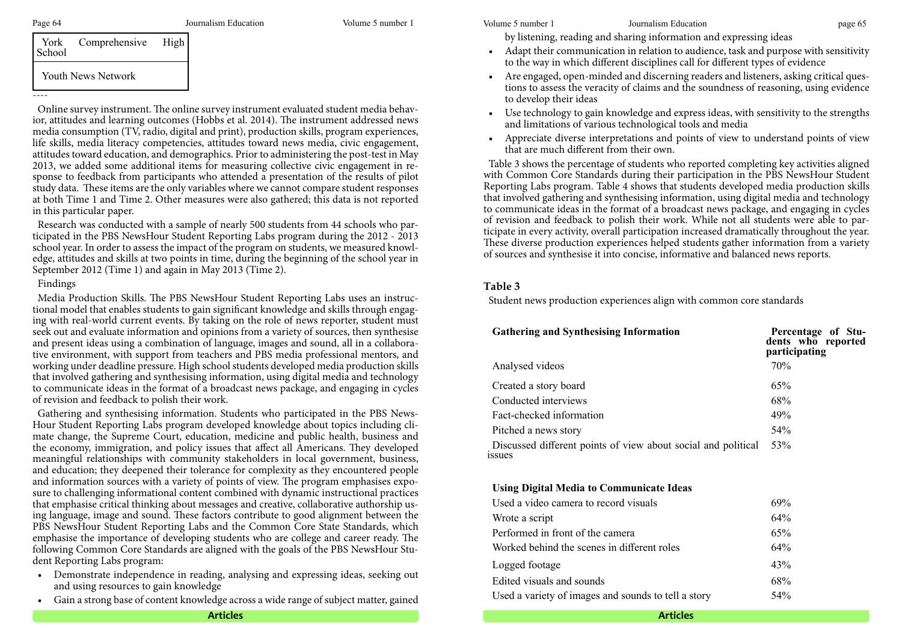----

| Comprehensive<br>York<br>School |                           | High |  |
|---------------------------------|---------------------------|------|--|
|                                 | <b>Youth News Network</b> |      |  |

|  | 1 VALIL 1 1 V V |  |  |  |
|--|-----------------|--|--|--|
|  |                 |  |  |  |
|  |                 |  |  |  |
|  |                 |  |  |  |

Online survey instrument. The online survey instrument evaluated student media behavior, attitudes and learning outcomes (Hobbs et al. 2014). The instrument addressed news media consumption (TV, radio, digital and print), production skills, program experiences, life skills, media literacy competencies, attitudes toward news media, civic engagement, attitudes toward education, and demographics. Prior to administering the post-test in May 2013, we added some additional items for measuring collective civic engagement in response to feedback from participants who attended a presentation of the results of pilot study data. These items are the only variables where we cannot compare student responses at both Time 1 and Time 2. Other measures were also gathered; this data is not reported in this particular paper.

Research was conducted with a sample of nearly 500 students from 44 schools who participated in the PBS NewsHour Student Reporting Labs program during the 2012 - 2013 school year. In order to assess the impact of the program on students, we measured knowledge, attitudes and skills at two points in time, during the beginning of the school year in September 2012 (Time 1) and again in May 2013 (Time 2).

### Findings

Media Production Skills. The PBS NewsHour Student Reporting Labs uses an instructional model that enables students to gain significant knowledge and skills through engaging with real-world current events. By taking on the role of news reporter, student must seek out and evaluate information and opinions from a variety of sources, then synthesise and present ideas using a combination of language, images and sound, all in a collaborative environment, with support from teachers and PBS media professional mentors, and working under deadline pressure. High school students developed media production skills that involved gathering and synthesising information, using digital media and technology to communicate ideas in the format of a broadcast news package, and engaging in cycles of revision and feedback to polish their work.

Gathering and synthesising information. Students who participated in the PBS News-Hour Student Reporting Labs program developed knowledge about topics including climate change, the Supreme Court, education, medicine and public health, business and the economy, immigration, and policy issues that affect all Americans. They developed meaningful relationships with community stakeholders in local government, business, and education; they deepened their tolerance for complexity as they encountered people and information sources with a variety of points of view. The program emphasises exposure to challenging informational content combined with dynamic instructional practices that emphasise critical thinking about messages and creative, collaborative authorship using language, image and sound. These factors contribute to good alignment between the PBS NewsHour Student Reporting Labs and the Common Core State Standards, which emphasise the importance of developing students who are college and career ready. The following Common Core Standards are aligned with the goals of the PBS NewsHour Student Reporting Labs program:

- Demonstrate independence in reading, analysing and expressing ideas, seeking out and using resources to gain knowledge
- Gain a strong base of content knowledge across a wide range of subject matter, gained

Page 64 Journalism Education Volume 5 number 1 Volume 5 number 1 Volume 5 number 1 Journalism Education page 65

by listening, reading and sharing information and expressing ideas

- Adapt their communication in relation to audience, task and purpose with sensitivity to the way in which different disciplines call for different types of evidence
- Are engaged, open-minded and discerning readers and listeners, asking critical questions to assess the veracity of claims and the soundness of reasoning, using evidence to develop their ideas
- Use technology to gain knowledge and express ideas, with sensitivity to the strengths and limitations of various technological tools and media
- Appreciate diverse interpretations and points of view to understand points of view that are much different from their own.

Table 3 shows the percentage of students who reported completing key activities aligned with Common Core Standards during their participation in the PBS NewsHour Student Reporting Labs program. Table 4 shows that students developed media production skills that involved gathering and synthesising information, using digital media and technology to communicate ideas in the format of a broadcast news package, and engaging in cycles of revision and feedback to polish their work. While not all students were able to participate in every activity, overall participation increased dramatically throughout the year. These diverse production experiences helped students gather information from a variety of sources and synthesise it into concise, informative and balanced news reports.

## **Table 3**

Student news production experiences align with common core standards

| <b>Gathering and Synthesising Information</b>                                 | Percentage of Stu-<br>dents who reported<br>participating |  |  |
|-------------------------------------------------------------------------------|-----------------------------------------------------------|--|--|
| Analysed videos                                                               | 70%                                                       |  |  |
| Created a story board                                                         | 65%                                                       |  |  |
| Conducted interviews                                                          | 68%                                                       |  |  |
| Fact-checked information                                                      | 49%                                                       |  |  |
| Pitched a news story                                                          | 54%                                                       |  |  |
| Discussed different points of view about social and political<br><i>ssues</i> | 53%                                                       |  |  |

## **Using Digital Media to Communicate Ideas**

| Used a video camera to record visuals               | 69%    |
|-----------------------------------------------------|--------|
| Wrote a script                                      | 64%    |
| Performed in front of the camera                    | 65%    |
| Worked behind the scenes in different roles         | $64\%$ |
| Logged footage                                      | 43%    |
| Edited visuals and sounds                           | 68%    |
| Used a variety of images and sounds to tell a story | 54%    |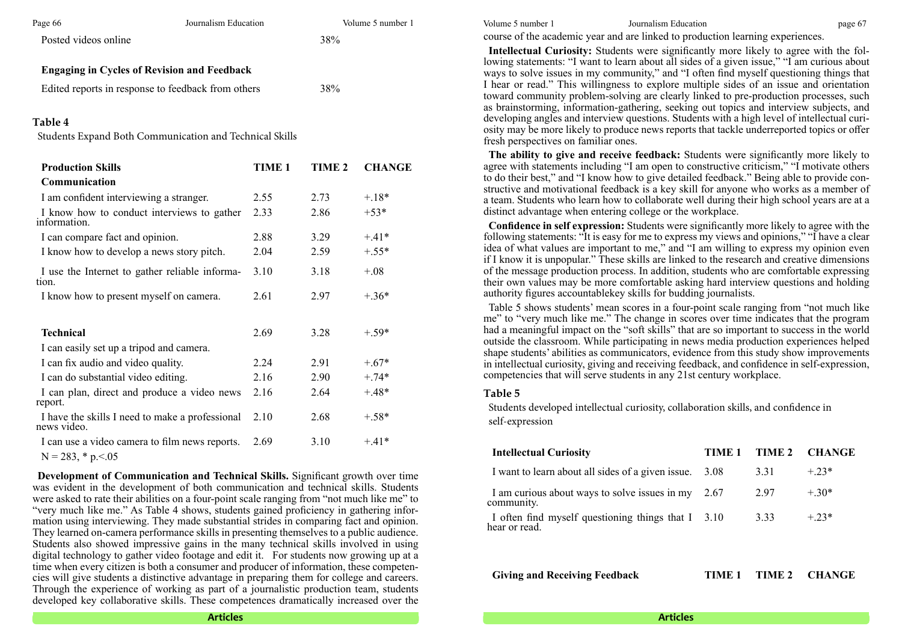| Page 66                                            | Journalism Education | Volume 5 number 1 | Volume 5 number 1 | Journalism Education                                                                                                                                                                                                                                                          | page 67 |
|----------------------------------------------------|----------------------|-------------------|-------------------|-------------------------------------------------------------------------------------------------------------------------------------------------------------------------------------------------------------------------------------------------------------------------------|---------|
| Posted videos online                               |                      | 38%               |                   | course of the academic year and are linked to production learning experiences.                                                                                                                                                                                                |         |
| <b>Engaging in Cycles of Revision and Feedback</b> |                      |                   |                   | Intellectual Curiosity: Students were significantly more likely to agree with the fol<br>lowing statements: "I want to learn about all sides of a given issue," "I am curious abou<br>ways to solve issues in my community," and "I often find myself questioning things that |         |
| Edited reports in response to feedback from others |                      | 38%               |                   | I hear or read." This willingness to explore multiple sides of an issue and orientation<br>toward community problem-solving are clearly linked to pre-production processes, such                                                                                              |         |

#### **Table 4**

Students Expand Both Communication and Technical Skills

| <b>Production Skills</b>                                       | <b>TIME 1</b> | <b>TIME 2</b> | <b>CHANGE</b> |
|----------------------------------------------------------------|---------------|---------------|---------------|
| Communication                                                  |               |               |               |
| I am confident interviewing a stranger.                        | 2.55          | 2.73          | $-.18*$       |
| I know how to conduct interviews to gather<br>information.     | 2.33          | 2.86          | $+53*$        |
| I can compare fact and opinion.                                | 2.88          | 3.29          | $+.41*$       |
| I know how to develop a news story pitch.                      | 2.04          | 2.59          | $+.55*$       |
| I use the Internet to gather reliable informa-<br>tion.        | 3.10          | 3.18          | $+.08$        |
| I know how to present myself on camera.                        | 2.61          | 2.97          | $+.36*$       |
| <b>Technical</b>                                               | 2.69          | 3.28          | $+.59*$       |
| I can easily set up a tripod and camera.                       |               |               |               |
| I can fix audio and video quality.                             | 2.24          | 2.91          | $+.67*$       |
| I can do substantial video editing.                            | 2.16          | 2.90          | $+.74*$       |
| I can plan, direct and produce a video news<br>report.         | 2.16          | 2.64          | $+.48*$       |
| I have the skills I need to make a professional<br>news video. | 2.10          | 2.68          | $+.58*$       |
| I can use a video camera to film news reports.                 | 2.69          | 3.10          | $+.41*$       |
| $N = 283$ , * p. < .05                                         |               |               |               |

**Development of Communication and Technical Skills.** Significant growth over time was evident in the development of both communication and technical skills. Students were asked to rate their abilities on a four-point scale ranging from "not much like me" to "very much like me." As Table 4 shows, students gained proficiency in gathering information using interviewing. They made substantial strides in comparing fact and opinion. They learned on-camera performance skills in presenting themselves to a public audience. Students also showed impressive gains in the many technical skills involved in using digital technology to gather video footage and edit it. For students now growing up at a time when every citizen is both a consumer and producer of information, these competencies will give students a distinctive advantage in preparing them for college and careers. Through the experience of working as part of a journalistic production team, students developed key collaborative skills. These competences dramatically increased over the

**Intellectual Curiosity:** Students were significantly more likely to agree with the following statements: "I want to learn about all sides of a given issue," "I am curious about ways to solve issues in my community," and "I often find myself questioning things that I hear or read." This willingness to explore multiple sides of an issue and orientation toward community problem-solving are clearly linked to pre-production processes, such as brainstorming, information-gathering, seeking out topics and interview subjects, and developing angles and interview questions. Students with a high level of intellectual curiosity may be more likely to produce news reports that tackle underreported topics or offer fresh perspectives on familiar ones.

**The ability to give and receive feedback:** Students were significantly more likely to agree with statements including "I am open to constructive criticism," "I motivate others to do their best," and "I know how to give detailed feedback." Being able to provide constructive and motivational feedback is a key skill for anyone who works as a member of a team. Students who learn how to collaborate well during their high school years are at a distinct advantage when entering college or the workplace.

**Confidence in self expression:** Students were significantly more likely to agree with the following statements: "It is easy for me to express my views and opinions," "I have a clear idea of what values are important to me," and "I am willing to express my opinion even if I know it is unpopular." These skills are linked to the research and creative dimensions of the message production process. In addition, students who are comfortable expressing their own values may be more comfortable asking hard interview questions and holding authority figures accountablekey skills for budding journalists.

Table 5 shows students' mean scores in a four-point scale ranging from "not much like me" to "very much like me." The change in scores over time indicates that the program had a meaningful impact on the "soft skills" that are so important to success in the world outside the classroom. While participating in news media production experiences helped shape students' abilities as communicators, evidence from this study show improvements in intellectual curiosity, giving and receiving feedback, and confidence in self-expression, competencies that will serve students in any 21st century workplace.

#### **Table 5**

Students developed intellectual curiosity, collaboration skills, and confidence in self-expression

| TIME 1                                                 |      | TIME 2 CHANGE |
|--------------------------------------------------------|------|---------------|
| I want to learn about all sides of a given issue. 3.08 | 3.31 | $+.23*$       |
| I am curious about ways to solve issues in my $2.67$   | 2.97 | $+.30*$       |
| I often find myself questioning things that I 3.10     | 3.33 | $+.23*$       |
|                                                        |      |               |

**Giving and Receiving Feedback TIME 1 TIME 2 CHANGE**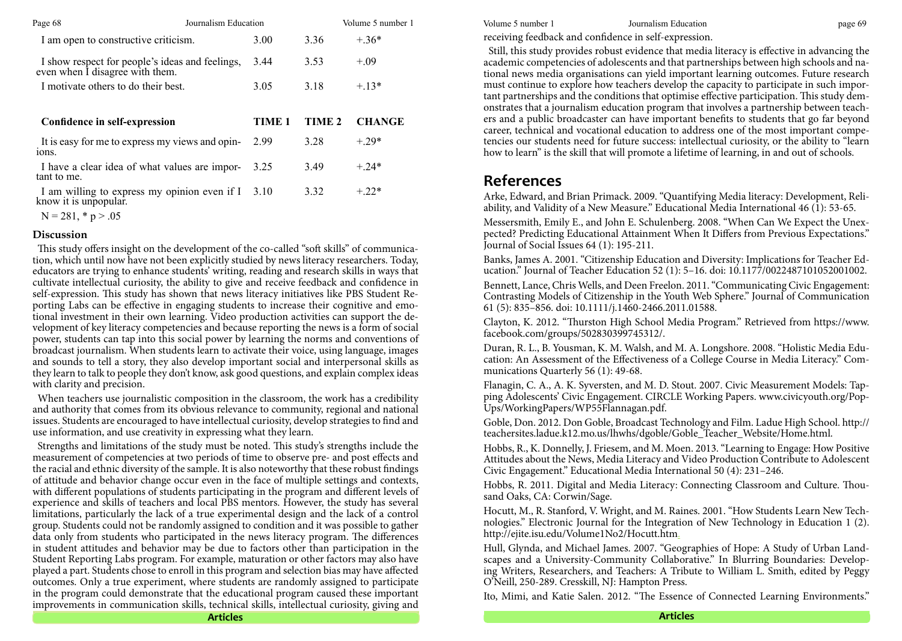| Page 68                                                                            | Journalism Education |               | Volume 5 number 1 | Volume 5 number 1                                                                                                                                                                                                                                                                | Journalism Education                                                                                                                                                                                                                                                              | page 69 |
|------------------------------------------------------------------------------------|----------------------|---------------|-------------------|----------------------------------------------------------------------------------------------------------------------------------------------------------------------------------------------------------------------------------------------------------------------------------|-----------------------------------------------------------------------------------------------------------------------------------------------------------------------------------------------------------------------------------------------------------------------------------|---------|
| I am open to constructive criticism.                                               | 3.00                 | 3.36          | $+.36*$           |                                                                                                                                                                                                                                                                                  | receiving feedback and confidence in self-expression.                                                                                                                                                                                                                             |         |
| I show respect for people's ideas and feelings,<br>even when I disagree with them. | 3.44                 | 3.53          | $+.09$            | Still, this study provides robust evidence that media literacy is effective in advancing the<br>academic competencies of adolescents and that partnerships between high schools and na<br>tional news media organisations can yield important learning outcomes. Future researcl |                                                                                                                                                                                                                                                                                   |         |
| I motivate others to do their best.                                                | 3.05                 | 3.18          | $+13*$            |                                                                                                                                                                                                                                                                                  | must continue to explore how teachers develop the capacity to participate in such import<br>tant partnerships and the conditions that optimise effective participation. This study dem<br>onstrates that a journalism education program that involves a partnership between teach |         |
| Confidence in self-expression                                                      | <b>TIME 1</b>        | <b>TIME 2</b> | <b>CHANGE</b>     |                                                                                                                                                                                                                                                                                  | ers and a public broadcaster can have important benefits to students that go far beyone<br>career, technical and vocational education to address one of the most important compe                                                                                                  |         |
| It is easy for me to express my views and opin-<br>ions.                           | 2.99                 | 3.28          | $+.29*$           |                                                                                                                                                                                                                                                                                  | tencies our students need for future success: intellectual curiosity, or the ability to "learn<br>how to learn" is the skill that will promote a lifetime of learning, in and out of schools.                                                                                     |         |
| I have a clear idea of what values are impor-<br>tant to me.                       | 3.25                 | 3.49          | $+.24*$           |                                                                                                                                                                                                                                                                                  |                                                                                                                                                                                                                                                                                   |         |
| I am willing to express my opinion even if I 3.10<br>know it is unpopular.         |                      | 3.32          | $+.22*$           | <b>References</b>                                                                                                                                                                                                                                                                | Arke, Edward, and Brian Primack. 2009. "Quantifying Media literacy: Development, Reli<br>ability, and Validity of a New Measure." Educational Media International 46 (1): 53-65.                                                                                                  |         |
| $N = 281, * p > .05$                                                               |                      |               |                   |                                                                                                                                                                                                                                                                                  | $\mathcal{M}$ and $\mathcal{M}$ in the $\mathcal{M}$ in $\mathcal{M}$ is a consequent of $\mathcal{M}$ in $\mathcal{M}$ is a consequent of $\mathcal{M}$ is a consequent of $\mathcal{M}$ is a consequent of $\mathcal{M}$ is a consequent of $\mathcal{M}$ is a consequent of    |         |

#### **Discussion**

This study offers insight on the development of the co-called "soft skills" of communication, which until now have not been explicitly studied by news literacy researchers. Today, educators are trying to enhance students' writing, reading and research skills in ways that cultivate intellectual curiosity, the ability to give and receive feedback and confidence in self-expression. This study has shown that news literacy initiatives like PBS Student Reporting Labs can be effective in engaging students to increase their cognitive and emotional investment in their own learning. Video production activities can support the development of key literacy competencies and because reporting the news is a form of social power, students can tap into this social power by learning the norms and conventions of broadcast journalism. When students learn to activate their voice, using language, images and sounds to tell a story, they also develop important social and interpersonal skills as they learn to talk to people they don't know, ask good questions, and explain complex ideas with clarity and precision.

When teachers use journalistic composition in the classroom, the work has a credibility and authority that comes from its obvious relevance to community, regional and national issues. Students are encouraged to have intellectual curiosity, develop strategies to find and use information, and use creativity in expressing what they learn.

Strengths and limitations of the study must be noted. This study's strengths include the measurement of competencies at two periods of time to observe pre- and post effects and the racial and ethnic diversity of the sample. It is also noteworthy that these robust findings of attitude and behavior change occur even in the face of multiple settings and contexts, with different populations of students participating in the program and different levels of experience and skills of teachers and local PBS mentors. However, the study has several limitations, particularly the lack of a true experimental design and the lack of a control group. Students could not be randomly assigned to condition and it was possible to gather data only from students who participated in the news literacy program. The differences in student attitudes and behavior may be due to factors other than participation in the Student Reporting Labs program. For example, maturation or other factors may also have played a part. Students chose to enroll in this program and selection bias may have affected outcomes. Only a true experiment, where students are randomly assigned to participate in the program could demonstrate that the educational program caused these important improvements in communication skills, technical skills, intellectual curiosity, giving and

# **References**

Messersmith, Emily E., and John E. Schulenberg. 2008. "When Can We Expect the Unexpected? Predicting Educational Attainment When It Differs from Previous Expectations." Journal of Social Issues 64 (1): 195-211.

Banks, James A. 2001. "Citizenship Education and Diversity: Implications for Teacher Education." Journal of Teacher Education 52 (1): 5–16. doi: 10.1177/0022487101052001002.

Bennett, Lance, Chris Wells, and Deen Freelon. 2011. "Communicating Civic Engagement: Contrasting Models of Citizenship in the Youth Web Sphere." Journal of Communication 61 (5): 835–856. doi: 10.1111/j.1460-2466.2011.01588.

Clayton, K. 2012. "Thurston High School Media Program." Retrieved from https://www. facebook.com/groups/502830399745312/.

Duran, R. L., B. Yousman, K. M. Walsh, and M. A. Longshore. 2008. "Holistic Media Education: An Assessment of the Effectiveness of a College Course in Media Literacy." Communications Quarterly 56 (1): 49-68.

Flanagin, C. A., A. K. Syversten, and M. D. Stout. 2007. Civic Measurement Models: Tapping Adolescents' Civic Engagement. CIRCLE Working Papers. www.civicyouth.org/Pop-Ups/WorkingPapers/WP55Flannagan.pdf.

Goble, Don. 2012. Don Goble, Broadcast Technology and Film. Ladue High School. http:// teachersites.ladue.k12.mo.us/lhwhs/dgoble/Goble\_Teacher\_Website/Home.html.

Hobbs, R., K. Donnelly, J. Friesem, and M. Moen. 2013. "Learning to Engage: How Positive Attitudes about the News, Media Literacy and Video Production Contribute to Adolescent Civic Engagement." Educational Media International 50 (4): 231–246.

Hobbs, R. 2011. Digital and Media Literacy: Connecting Classroom and Culture. Thousand Oaks, CA: Corwin/Sage.

Hocutt, M., R. Stanford, V. Wright, and M. Raines. 2001. "How Students Learn New Technologies." Electronic Journal for the Integration of New Technology in Education 1 (2). http://ejite.isu.edu/Volume1No2/Hocutt.htm.

Hull, Glynda, and Michael James. 2007. "Geographies of Hope: A Study of Urban Landscapes and a University-Community Collaborative." In Blurring Boundaries: Developing Writers, Researchers, and Teachers: A Tribute to William L. Smith, edited by Peggy O'Neill, 250-289. Cresskill, NJ: Hampton Press.

Ito, Mimi, and Katie Salen. 2012. "The Essence of Connected Learning Environments."